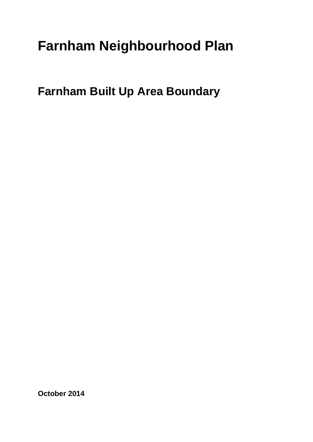## **Farnham Neighbourhood Plan**

**Farnham Built Up Area Boundary**

**October 2014**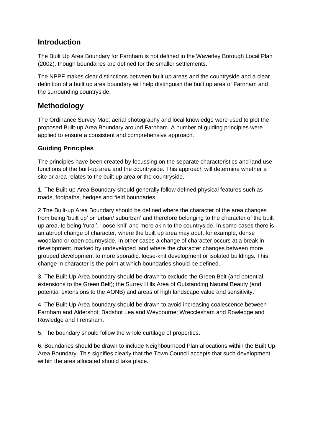## **Introduction**

The Built Up Area Boundary for Farnham is not defined in the Waverley Borough Local Plan (2002), though boundaries are defined for the smaller settlements.

The NPPF makes clear distinctions between built up areas and the countryside and a clear definition of a built up area boundary will help distinguish the built up area of Farnham and the surrounding countryside.

## **Methodology**

The Ordinance Survey Map; aerial photography and local knowledge were used to plot the proposed Built-up Area Boundary around Farnham. A number of guiding principles were applied to ensure a consistent and comprehensive approach.

## **Guiding Principles**

The principles have been created by focussing on the separate characteristics and land use functions of the built-up area and the countryside. This approach will determine whether a site or area relates to the built up area or the countryside.

1. The Built-up Area Boundary should generally follow defined physical features such as roads, footpaths, hedges and field boundaries.

2 The Built-up Area Boundary should be defined where the character of the area changes from being 'built up' or 'urban/ suburban' and therefore belonging to the character of the built up area, to being 'rural', 'loose-knit' and more akin to the countryside. In some cases there is an abrupt change of character, where the built up area may abut, for example, dense woodland or open countryside. In other cases a change of character occurs at a break in development, marked by undeveloped land where the character changes between more grouped development to more sporadic, loose-knit development or isolated buildings. This change in character is the point at which boundaries should be defined.

3. The Built Up Area boundary should be drawn to exclude the Green Belt (and potential extensions to the Green Belt); the Surrey Hills Area of Outstanding Natural Beauty (and potential extensions to the AONB) and areas of high landscape value and sensitivity.

4. The Built Up Area boundary should be drawn to avoid increasing coalescence between Farnham and Aldershot; Badshot Lea and Weybourne; Wrecclesham and Rowledge and Rowledge and Frensham.

5. The boundary should follow the whole curtilage of properties.

6. Boundaries should be drawn to include Neighbourhood Plan allocations within the Built Up Area Boundary. This signifies clearly that the Town Council accepts that such development within the area allocated should take place.